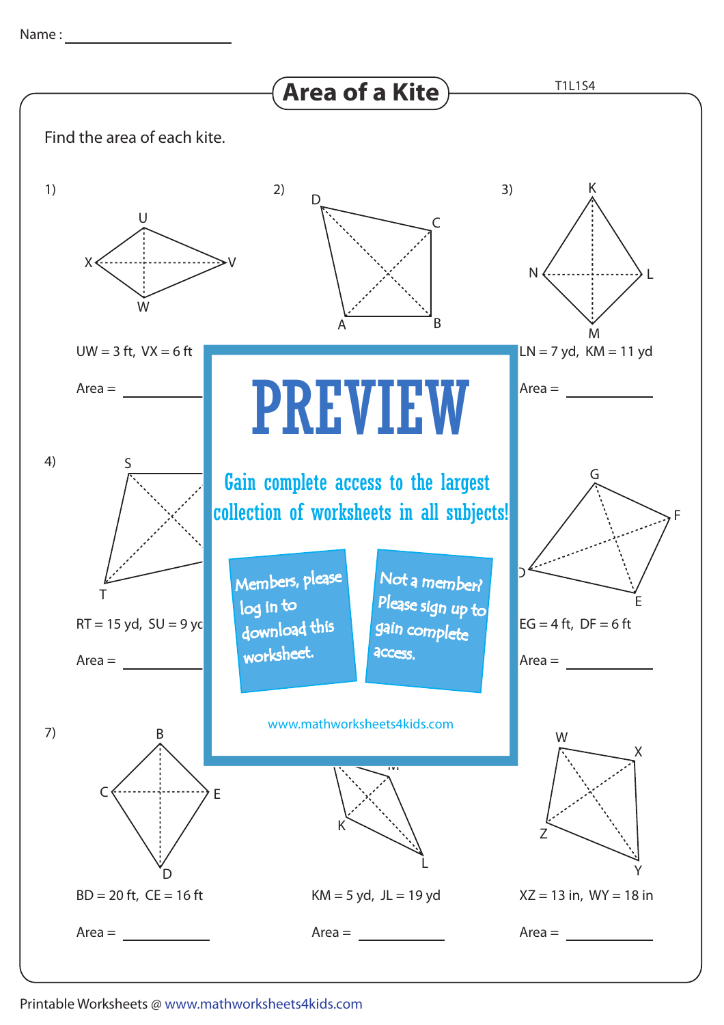